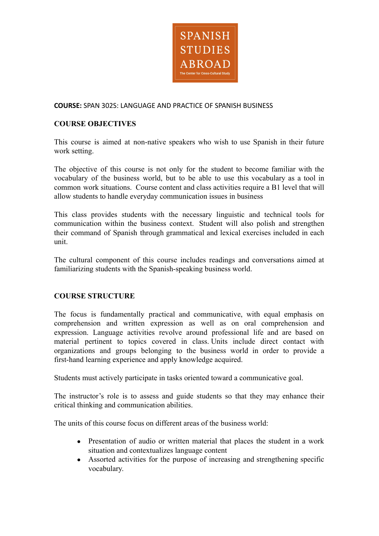

## **COURSE:** SPAN 302S: LANGUAGE AND PRACTICE OF SPANISH BUSINESS

## **COURSE OBJECTIVES**

This course is aimed at non-native speakers who wish to use Spanish in their future work setting.

The objective of this course is not only for the student to become familiar with the vocabulary of the business world, but to be able to use this vocabulary as a tool in common work situations. Course content and class activities require a B1 level that will allow students to handle everyday communication issues in business

This class provides students with the necessary linguistic and technical tools for communication within the business context. Student will also polish and strengthen their command of Spanish through grammatical and lexical exercises included in each unit.

The cultural component of this course includes readings and conversations aimed at familiarizing students with the Spanish-speaking business world.

### **COURSE STRUCTURE**

The focus is fundamentally practical and communicative, with equal emphasis on comprehension and written expression as well as on oral comprehension and expression. Language activities revolve around professional life and are based on material pertinent to topics covered in class. Units include direct contact with organizations and groups belonging to the business world in order to provide a first-hand learning experience and apply knowledge acquired.

Students must actively participate in tasks oriented toward a communicative goal.

The instructor's role is to assess and guide students so that they may enhance their critical thinking and communication abilities.

The units of this course focus on different areas of the business world:

- Presentation of audio or written material that places the student in a work situation and contextualizes language content
- Assorted activities for the purpose of increasing and strengthening specific vocabulary.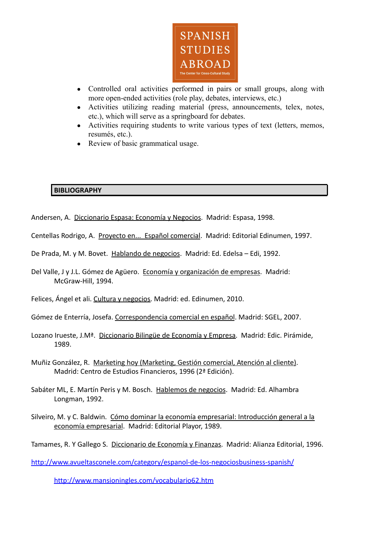

- Controlled oral activities performed in pairs or small groups, along with more open-ended activities (role play, debates, interviews, etc.)
- Activities utilizing reading material (press, announcements, telex, notes, etc.), which will serve as a springboard for debates.
- Activities requiring students to write various types of text (letters, memos, resumés, etc.).
- Review of basic grammatical usage.

# **BIBLIOGRAPHY**

Andersen, A. Diccionario Espasa: Economía y Negocios. Madrid: Espasa, 1998.

Centellas Rodrigo, A. Proyecto en... Español comercial. Madrid: Editorial Edinumen, 1997.

- De Prada, M. y M. Bovet. Hablando de negocios. Madrid: Ed. Edelsa Edi, 1992.
- Del Valle, J y J.L. Gómez de Agüero. Economía y organización de empresas. Madrid: McGraw-Hill, 1994.
- Felices, Ángel et ali. Cultura y negocios. Madrid: ed. Edinumen, 2010.

Gómez de Enterría, Josefa. Correspondencia comercial en español. Madrid: SGEL, 2007.

- Lozano Irueste, J.Mª. Diccionario Bilingüe de Economía y Empresa. Madrid: Edic. Pirámide, 1989.
- Muñiz González, R. Marketing hoy (Marketing, Gestión comercial, Atención al cliente). Madrid: Centro de Estudios Financieros, 1996 (2ª Edición).
- Sabáter ML, E. Martín Peris y M. Bosch. Hablemos de negocios. Madrid: Ed. Alhambra Longman, 1992.
- Silveiro, M. y C. Baldwin. Cómo dominar la economía empresarial: Introducción general a la economía empresarial. Madrid: Editorial Playor, 1989.

Tamames, R. Y Gallego S. Diccionario de Economía y Finanzas. Madrid: Alianza Editorial, 1996.

<http://www.avueltasconele.com/category/espanol-de-los-negociosbusiness-spanish/>

<http://www.mansioningles.com/vocabulario62.htm>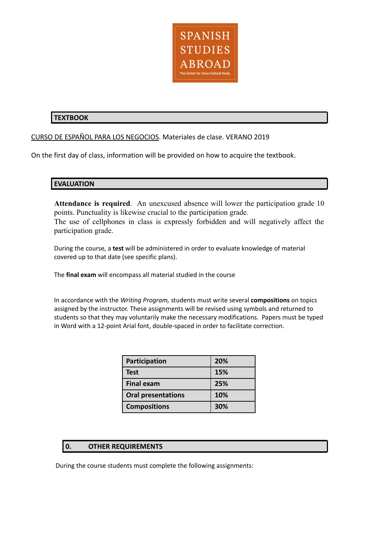

# **TEXTBOOK**

### CURSO DE ESPAÑOL PARA LOS NEGOCIOS. Materiales de clase. VERANO 2019

On the first day of class, information will be provided on how to acquire the textbook.

## **EVALUATION**

**Attendance is required**. An unexcused absence will lower the participation grade 10 points. Punctuality is likewise crucial to the participation grade. The use of cellphones in class is expressly forbidden and will negatively affect the participation grade.

During the course, a **test** will be administered in order to evaluate knowledge of material covered up to that date (see specific plans).

The **final exam** will encompass all material studied in the course

In accordance with the *Writing Program,* students must write several **compositions** on topics assigned by the instructor. These assignments will be revised using symbols and returned to students so that they may voluntarily make the necessary modifications. Papers must be typed in Word with a 12-point Arial font, double-spaced in order to facilitate correction.

| Participation             | 20% |
|---------------------------|-----|
| <b>Test</b>               | 15% |
| <b>Final exam</b>         | 25% |
| <b>Oral presentations</b> | 10% |
| <b>Compositions</b>       | 30% |

### **0. OTHER REQUIREMENTS**

During the course students must complete the following assignments: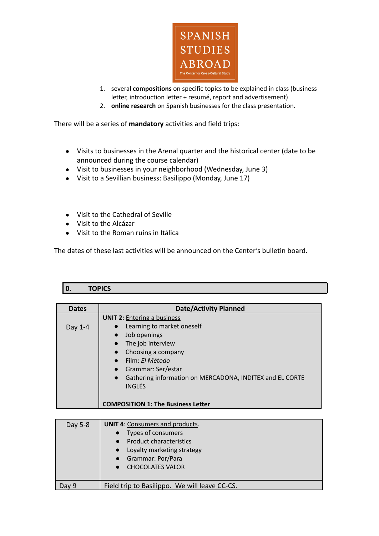

- 1. several **compositions** on specific topics to be explained in class (business letter, introduction letter + resumé, report and advertisement)
- 2. **online research** on Spanish businesses for the class presentation.

There will be a series of **mandatory** activities and field trips:

- Visits to businesses in the Arenal quarter and the historical center (date to be announced during the course calendar)
- Visit to businesses in your neighborhood (Wednesday, June 3)
- Visit to a Sevillian business: Basilippo (Monday, June 17)
- Visit to the Cathedral of Seville
- Visit to the Alcázar
- Visit to the Roman ruins in Itálica

The dates of these last activities will be announced on the Center's bulletin board.

# **0. TOPICS**

| <b>Dates</b> | <b>Date/Activity Planned</b>                                                                                                                   |
|--------------|------------------------------------------------------------------------------------------------------------------------------------------------|
| Day 1-4      | <b>UNIT 2: Entering a business</b><br>Learning to market oneself<br>Job openings<br>The job interview<br>Choosing a company<br>Film: El Método |
|              | Grammar: Ser/estar<br>Gathering information on MERCADONA, INDITEX and EL CORTE<br><b>INGLÉS</b><br><b>COMPOSITION 1: The Business Letter</b>   |

| Day 5-8 | <b>UNIT 4: Consumers and products.</b><br>Types of consumers<br><b>Product characteristics</b><br>• Loyalty marketing strategy<br>• Grammar: Por/Para<br>• CHOCOLATES VALOR |
|---------|-----------------------------------------------------------------------------------------------------------------------------------------------------------------------------|
| Day 9   | Field trip to Basilippo. We will leave CC-CS.                                                                                                                               |